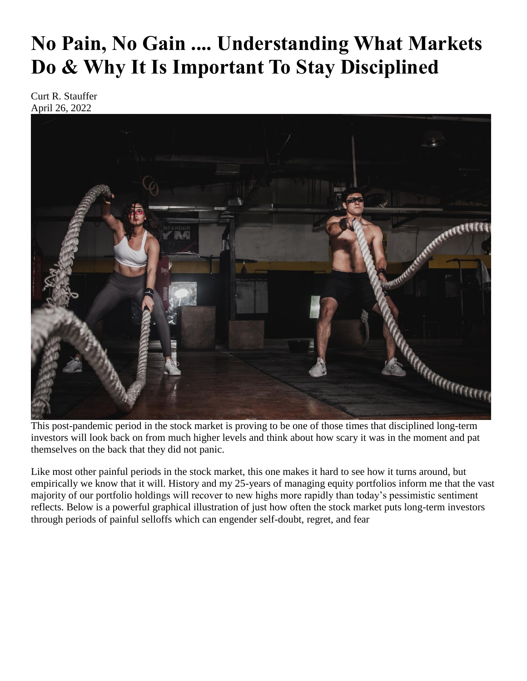# **No Pain, No Gain .... Understanding What Markets Do & Why It Is Important To Stay Disciplined**

Curt R. Stauffer April 26, 2022



This post-pandemic period in the stock market is proving to be one of those times that disciplined long-term investors will look back on from much higher levels and think about how scary it was in the moment and pat themselves on the back that they did not panic.

Like most other painful periods in the stock market, this one makes it hard to see how it turns around, but empirically we know that it will. History and my 25-years of managing equity portfolios inform me that the vast majority of our portfolio holdings will recover to new highs more rapidly than today's pessimistic sentiment reflects. Below is a powerful graphical illustration of just how often the stock market puts long-term investors through periods of painful selloffs which can engender self-doubt, regret, and fear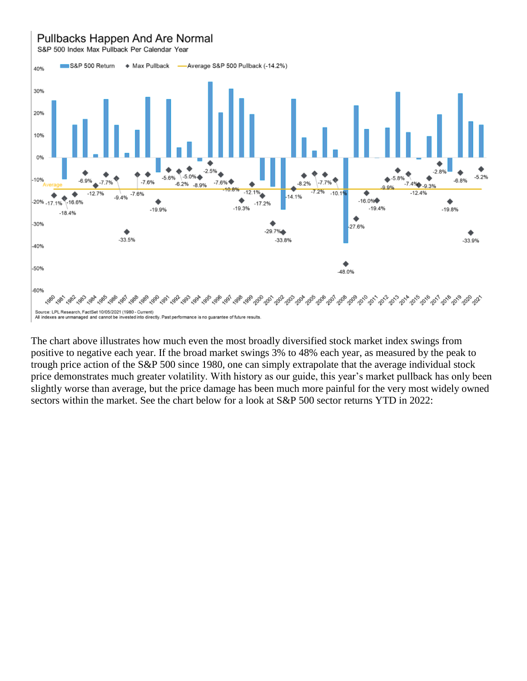## Pullbacks Happen And Are Normal

S&P 500 Index Max Pullback Per Calendar Year



The chart above illustrates how much even the most broadly diversified stock market index swings from positive to negative each year. If the broad market swings 3% to 48% each year, as measured by the peak to trough price action of the S&P 500 since 1980, one can simply extrapolate that the average individual stock price demonstrates much greater volatility. With history as our guide, this year's market pullback has only been slightly worse than average, but the price damage has been much more painful for the very most widely owned sectors within the market. See the chart below for a look at S&P 500 sector returns YTD in 2022: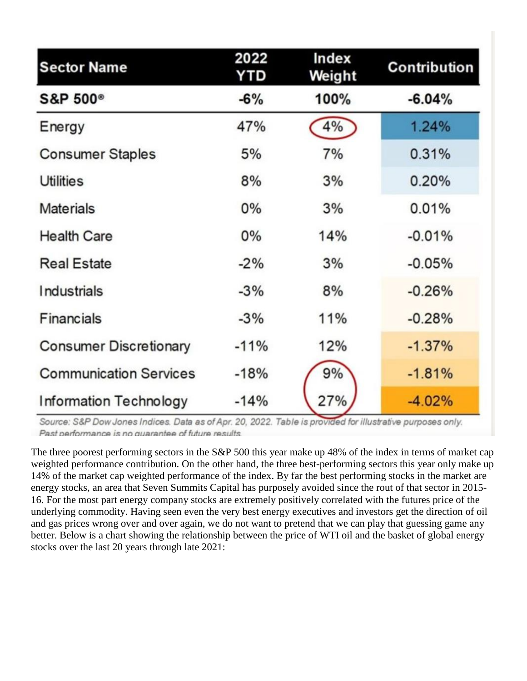| <b>Sector Name</b>            | 2022<br>YTD | Index<br>Weight | <b>Contribution</b> |
|-------------------------------|-------------|-----------------|---------------------|
| S&P 500 <sup>®</sup>          | $-6%$       | 100%            | $-6.04%$            |
| Energy                        | 47%         | 4%              | 1.24%               |
| <b>Consumer Staples</b>       | 5%          | 7%              | 0.31%               |
| Utilities                     | 8%          | 3%              | 0.20%               |
| <b>Materials</b>              | $0\%$       | 3%              | 0.01%               |
| <b>Health Care</b>            | $0\%$       | 14%             | $-0.01%$            |
| <b>Real Estate</b>            | $-2%$       | 3%              | $-0.05%$            |
| <b>Industrials</b>            | $-3%$       | 8%              | $-0.26%$            |
| Financials                    | $-3%$       | 11%             | $-0.28%$            |
| <b>Consumer Discretionary</b> | $-11%$      | 12%             | $-1.37%$            |
| <b>Communication Services</b> | $-18%$      | 9%              | $-1.81%$            |
| <b>Information Technology</b> | $-14%$      | 27%             | $-4.02%$            |

Source: S&P Dow Jones Indices. Data as of Apr. 20, 2022. Table is provided for illustrative purposes only. Past performance is no quarantee of future results.

The three poorest performing sectors in the S&P 500 this year make up 48% of the index in terms of market cap weighted performance contribution. On the other hand, the three best-performing sectors this year only make up 14% of the market cap weighted performance of the index. By far the best performing stocks in the market are energy stocks, an area that Seven Summits Capital has purposely avoided since the rout of that sector in 2015- 16. For the most part energy company stocks are extremely positively correlated with the futures price of the underlying commodity. Having seen even the very best energy executives and investors get the direction of oil and gas prices wrong over and over again, we do not want to pretend that we can play that guessing game any better. Below is a chart showing the relationship between the price of WTI oil and the basket of global energy stocks over the last 20 years through late 2021: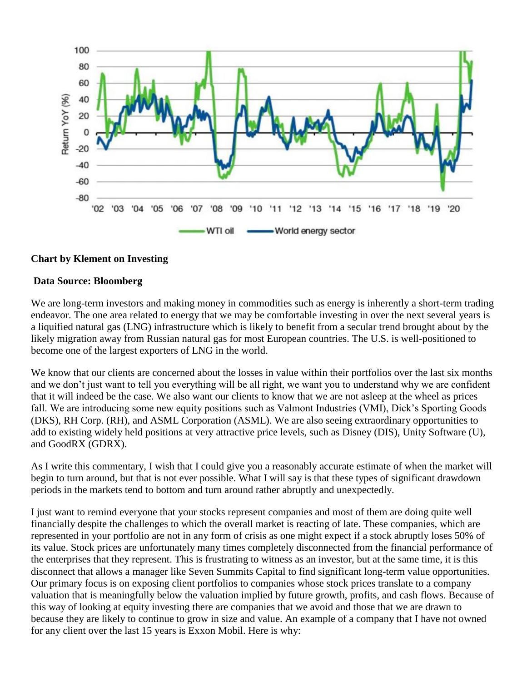

### **Chart by Klement on Investing**

#### **Data Source: Bloomberg**

We are long-term investors and making money in commodities such as energy is inherently a short-term trading endeavor. The one area related to energy that we may be comfortable investing in over the next several years is a liquified natural gas (LNG) infrastructure which is likely to benefit from a secular trend brought about by the likely migration away from Russian natural gas for most European countries. The U.S. is well-positioned to become one of the largest exporters of LNG in the world.

We know that our clients are concerned about the losses in value within their portfolios over the last six months and we don't just want to tell you everything will be all right, we want you to understand why we are confident that it will indeed be the case. We also want our clients to know that we are not asleep at the wheel as prices fall. We are introducing some new equity positions such as Valmont Industries (VMI), Dick's Sporting Goods (DKS), RH Corp. (RH), and ASML Corporation (ASML). We are also seeing extraordinary opportunities to add to existing widely held positions at very attractive price levels, such as Disney (DIS), Unity Software (U), and GoodRX (GDRX).

As I write this commentary, I wish that I could give you a reasonably accurate estimate of when the market will begin to turn around, but that is not ever possible. What I will say is that these types of significant drawdown periods in the markets tend to bottom and turn around rather abruptly and unexpectedly.

I just want to remind everyone that your stocks represent companies and most of them are doing quite well financially despite the challenges to which the overall market is reacting of late. These companies, which are represented in your portfolio are not in any form of crisis as one might expect if a stock abruptly loses 50% of its value. Stock prices are unfortunately many times completely disconnected from the financial performance of the enterprises that they represent. This is frustrating to witness as an investor, but at the same time, it is this disconnect that allows a manager like Seven Summits Capital to find significant long-term value opportunities. Our primary focus is on exposing client portfolios to companies whose stock prices translate to a company valuation that is meaningfully below the valuation implied by future growth, profits, and cash flows. Because of this way of looking at equity investing there are companies that we avoid and those that we are drawn to because they are likely to continue to grow in size and value. An example of a company that I have not owned for any client over the last 15 years is Exxon Mobil. Here is why: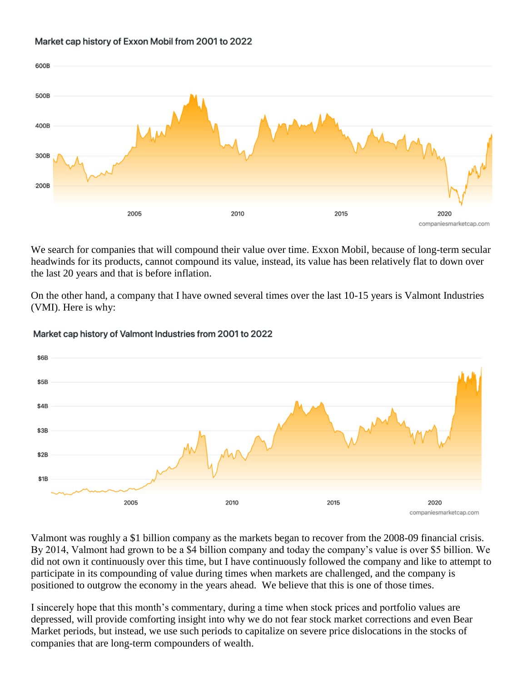#### Market cap history of Exxon Mobil from 2001 to 2022



We search for companies that will compound their value over time. Exxon Mobil, because of long-term secular headwinds for its products, cannot compound its value, instead, its value has been relatively flat to down over the last 20 years and that is before inflation.

On the other hand, a company that I have owned several times over the last 10-15 years is Valmont Industries (VMI). Here is why:



#### Market cap history of Valmont Industries from 2001 to 2022

Valmont was roughly a \$1 billion company as the markets began to recover from the 2008-09 financial crisis. By 2014, Valmont had grown to be a \$4 billion company and today the company's value is over \$5 billion. We did not own it continuously over this time, but I have continuously followed the company and like to attempt to participate in its compounding of value during times when markets are challenged, and the company is positioned to outgrow the economy in the years ahead. We believe that this is one of those times.

I sincerely hope that this month's commentary, during a time when stock prices and portfolio values are depressed, will provide comforting insight into why we do not fear stock market corrections and even Bear Market periods, but instead, we use such periods to capitalize on severe price dislocations in the stocks of companies that are long-term compounders of wealth.